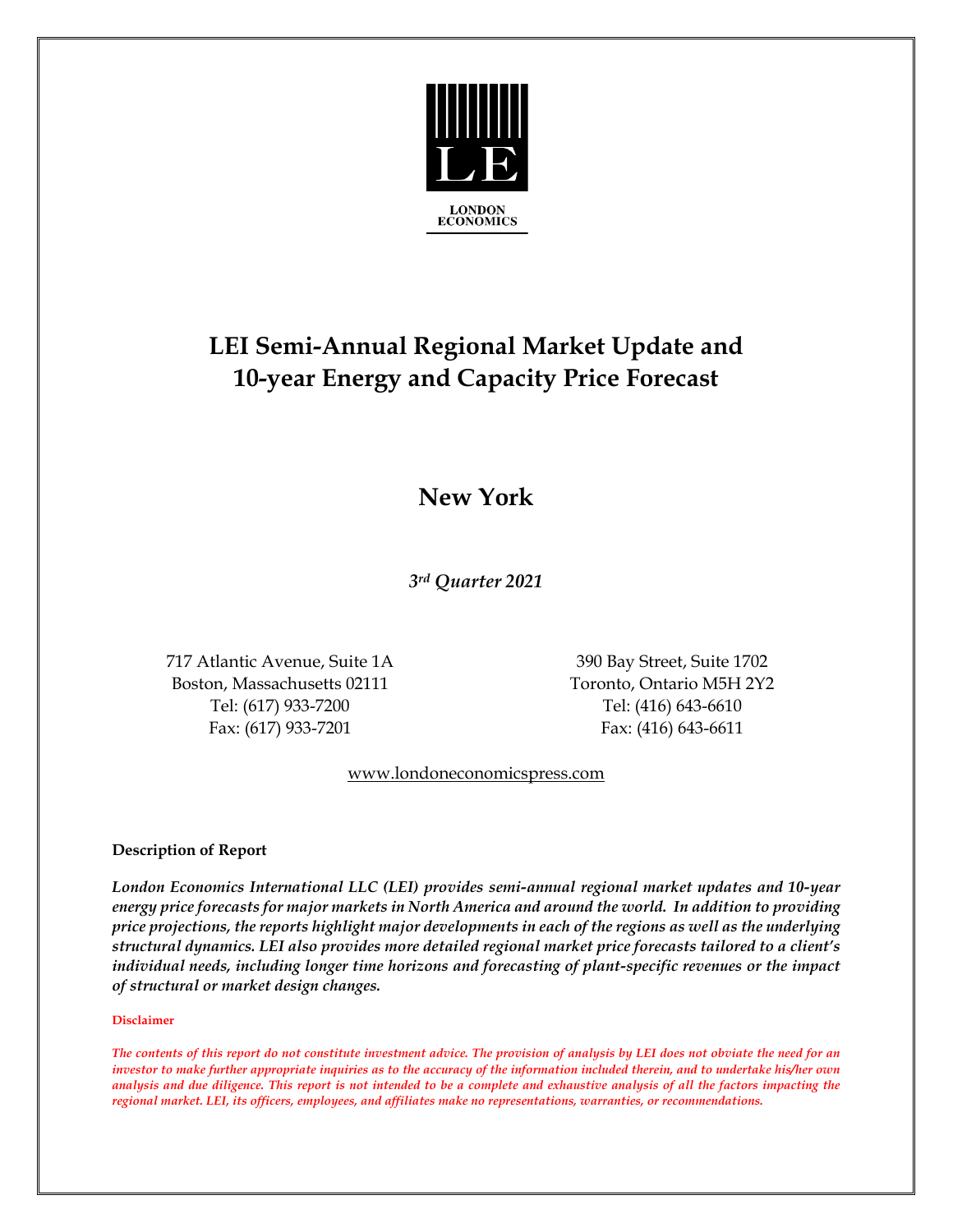

# **LEI Semi-Annual Regional Market Update and 10-year Energy and Capacity Price Forecast**

### **New York**

*3rd Quarter 2021*

717 Atlantic Avenue, Suite 1A 390 Bay Street, Suite 1702 Boston, Massachusetts 02111 Toronto, Ontario M5H 2Y2 Tel: (617) 933-7200 Tel: (416) 643-6610 Fax: (617) 933-7201 Fax: (416) 643-6611

www.londoneconomicspress.com

### **Description of Report**

*London Economics International LLC (LEI) provides semi-annual regional market updates and 10-year energy price forecasts for major markets in North America and around the world. In addition to providing price projections, the reports highlight major developments in each of the regions as well as the underlying structural dynamics. LEI also provides more detailed regional market price forecasts tailored to a client's individual needs, including longer time horizons and forecasting of plant-specific revenues or the impact of structural or market design changes.*

#### **Disclaimer**

*The contents of this report do not constitute investment advice. The provision of analysis by LEI does not obviate the need for an investor to make further appropriate inquiries as to the accuracy of the information included therein, and to undertake his/her own analysis and due diligence. This report is not intended to be a complete and exhaustive analysis of all the factors impacting the regional market. LEI, its officers, employees, and affiliates make no representations, warranties, or recommendations.*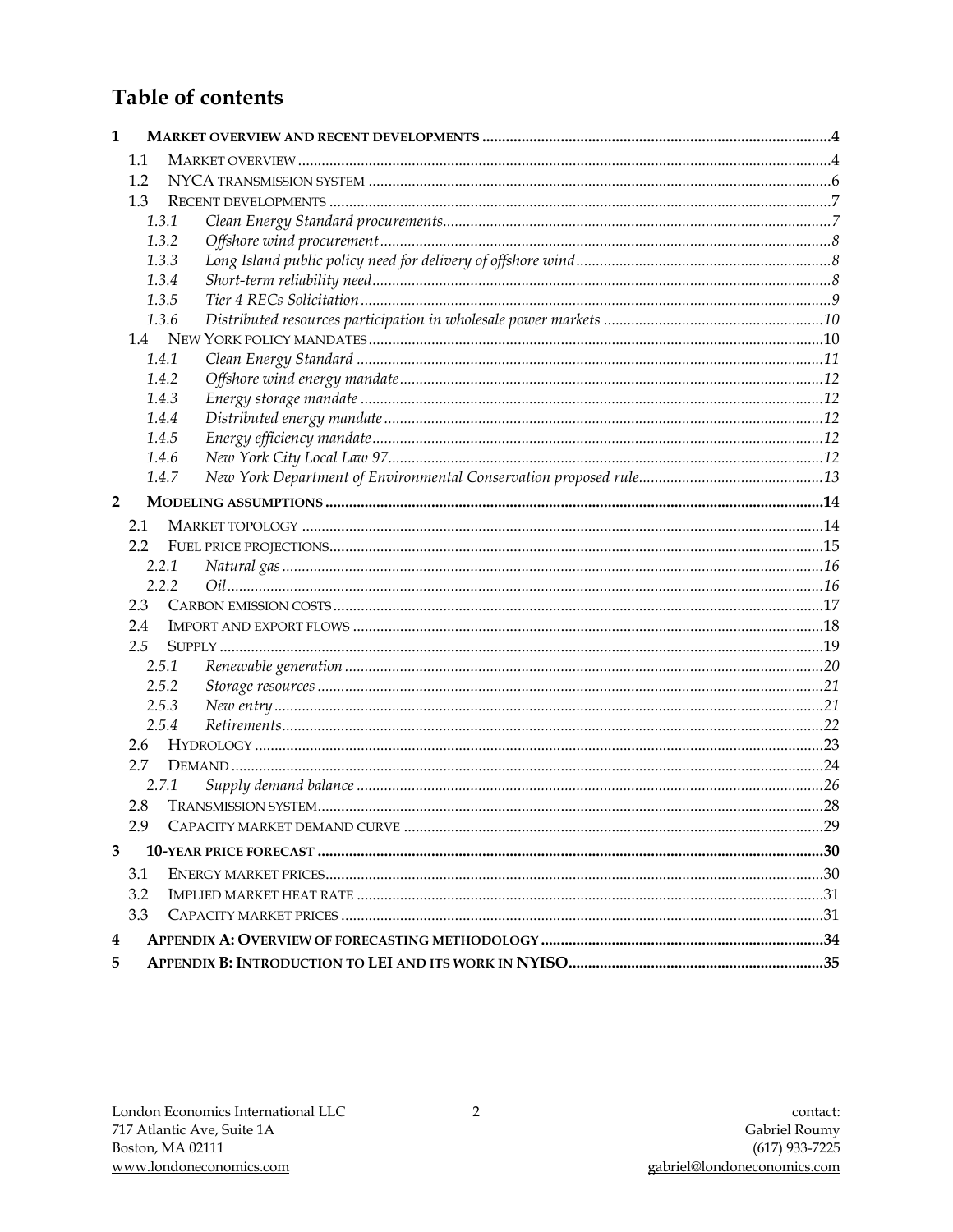### Table of contents

| $\mathbf{1}$   |       |       |  |
|----------------|-------|-------|--|
|                | 1.1   |       |  |
| 1.2            |       |       |  |
|                | 1.3   |       |  |
|                |       | 1.3.1 |  |
|                |       | 1.3.2 |  |
|                |       | 1.3.3 |  |
|                |       | 1.3.4 |  |
|                |       | 1.3.5 |  |
|                |       | 1.3.6 |  |
|                |       |       |  |
|                | 1.4.1 |       |  |
|                |       | 1.4.2 |  |
|                |       | 1.4.3 |  |
|                |       | 1.4.4 |  |
|                |       | 1.4.5 |  |
|                |       | 1.4.6 |  |
|                |       | 1.4.7 |  |
| $\overline{2}$ |       |       |  |
|                | 2.1   |       |  |
|                |       |       |  |
|                | 2.2.1 |       |  |
|                |       | 2.2.2 |  |
|                | 2.3   |       |  |
|                | 2.4   |       |  |
|                | 2.5   |       |  |
|                |       | 2.5.1 |  |
|                |       | 2.5.2 |  |
|                | 2.5.3 |       |  |
|                |       | 2.5.4 |  |
|                | 2.6   |       |  |
|                | 2.7   |       |  |
|                |       | 2.7.1 |  |
|                | 2.8   |       |  |
|                |       |       |  |
| 3              |       |       |  |
|                | 3.1   |       |  |
|                | 3.2   |       |  |
|                | 3.3   |       |  |
| 4              |       |       |  |
| 5              |       |       |  |